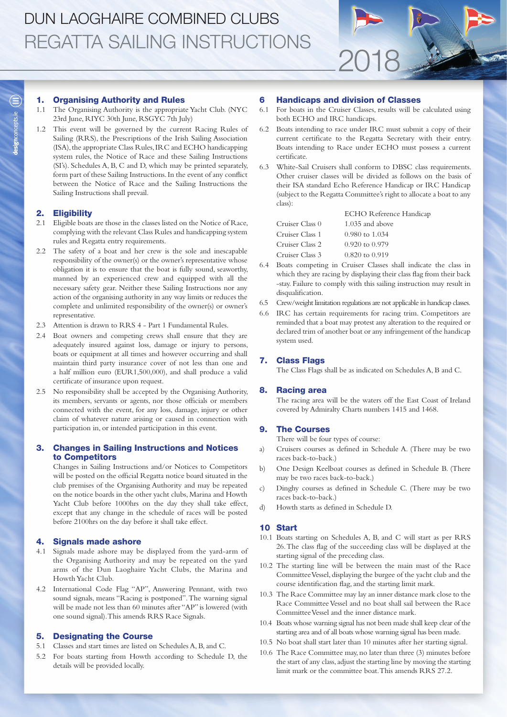### 1. Organising Authority and Rules

- 1.1 The Organising Authority is the appropriate Yacht Club. (NYC 23rd June, RIYC 30th June, RSGYC 7th July)
- 1.2 This event will be governed by the current Racing Rules of Sailing (RRS), the Prescriptions of the Irish Sailing Association (ISA), the appropriate Class Rules, IRC and ECHO handicapping system rules, the Notice of Race and these Sailing Instructions (SI's). Schedules A, B, C and D, which may be printed separately, form part of these Sailing Instructions. In the event of any conflict between the Notice of Race and the Sailing Instructions the Sailing Instructions shall prevail.

## 2. Eligibility

- 2.1 Eligible boats are those in the classes listed on the Notice of Race, complying with the relevant Class Rules and handicapping system rules and Regatta entry requirements.
- 2.2 The safety of a boat and her crew is the sole and inescapable responsibility of the owner(s) or the owner's representative whose obligation it is to ensure that the boat is fully sound, seaworthy, manned by an experienced crew and equipped with all the necessary safety gear. Neither these Sailing Instructions nor any action of the organising authority in any way limits or reduces the complete and unlimited responsibility of the owner(s) or owner's representative.
- 2.3 Attention is drawn to RRS 4 Part 1 Fundamental Rules.
- 2.4 Boat owners and competing crews shall ensure that they are adequately insured against loss, damage or injury to persons, boats or equipment at all times and however occurring and shall maintain third party insurance cover of not less than one and a half million euro (EUR1,500,000), and shall produce a valid certificate of insurance upon request.
- 2.5 No responsibility shall be accepted by the Organising Authority, its members, servants or agents, nor those officials or members connected with the event, for any loss, damage, injury or other claim of whatever nature arising or caused in connection with participation in, or intended participation in this event.

## 3. Changes in Sailing Instructions and Notices to Competitors

Changes in Sailing Instructions and/or Notices to Competitors will be posted on the official Regatta notice board situated in the club premises of the Organising Authority and may be repeated on the notice boards in the other yacht clubs, Marina and Howth Yacht Club before 1000hrs on the day they shall take effect, except that any change in the schedule of races will be posted before 2100hrs on the day before it shall take effect.

#### 4. Signals made ashore

- 4.1 Signals made ashore may be displayed from the yard-arm of the Organising Authority and may be repeated on the yard arms of the Dun Laoghaire Yacht Clubs, the Marina and Howth Yacht Club.
- 4.2 International Code Flag "AP", Answering Pennant, with two sound signals, means "Racing is postponed". The warning signal will be made not less than 60 minutes after "AP" is lowered (with one sound signal). This amends RRS Race Signals.

### 5. Designating the Course

- 5.1 Classes and start times are listed on Schedules A, B, and C.
- 5.2 For boats starting from Howth according to Schedule D, the details will be provided locally.

## 6 Handicaps and division of Classes

6.1 For boats in the Cruiser Classes, results will be calculated using both ECHO and IRC handicaps.

2018

- 6.2 Boats intending to race under IRC must submit a copy of their current certificate to the Regatta Secretary with their entry. Boats intending to Race under ECHO must possess a current certificate.
- 6.3 White-Sail Cruisers shall conform to DBSC class requirements. Other cruiser classes will be divided as follows on the basis of their ISA standard Echo Reference Handicap or IRC Handicap (subject to the Regatta Committee's right to allocate a boat to any class):

|                 | <b>ECHO</b> Reference Handicap |
|-----------------|--------------------------------|
| Cruiser Class 0 | $1.035$ and above              |
| Cruiser Class 1 | 0.980 to 1.034                 |
| Cruiser Class 2 | $0.920$ to $0.979$             |
| Cruiser Class 3 | $0.820$ to $0.919$             |

- 6.4 Boats competing in Cruiser Classes shall indicate the class in which they are racing by displaying their class flag from their back -stay. Failure to comply with this sailing instruction may result in disqualification.
- 6.5 Crew/weight limitation regulations are not applicable in handicap classes.
- 6.6 IRC has certain requirements for racing trim. Competitors are reminded that a boat may protest any alteration to the required or declared trim of another boat or any infringement of the handicap system used.

### 7. Class Flags

The Class Flags shall be as indicated on Schedules A, B and C.

### 8. Racing area

The racing area will be the waters off the East Coast of Ireland covered by Admiralty Charts numbers 1415 and 1468.

## 9. The Courses

There will be four types of course:

- a) Cruisers courses as defined in Schedule A. (There may be two races back-to-back.)
- b) One Design Keelboat courses as defined in Schedule B. (There may be two races back-to-back.)
- c) Dinghy courses as defined in Schedule C. (There may be two races back-to-back.)
- d) Howth starts as defined in Schedule D.

### 10 Start

- 10.1 Boats starting on Schedules A, B, and C will start as per RRS 26. The class flag of the succeeding class will be displayed at the starting signal of the preceding class.
- 10.2 The starting line will be between the main mast of the Race Committee Vessel, displaying the burgee of the yacht club and the course identification flag, and the starting limit mark.
- 10.3 The Race Committee may lay an inner distance mark close to the Race Committee Vessel and no boat shall sail between the Race Committee Vessel and the inner distance mark.
- 10.4 Boats whose warning signal has not been made shall keep clear of the starting area and of all boats whose warning signal has been made.
- 10.5 No boat shall start later than 10 minutes after her starting signal.
- 10.6 The Race Committee may, no later than three (3) minutes before the start of any class, adjust the starting line by moving the starting limit mark or the committee boat. This amends RRS 27.2.